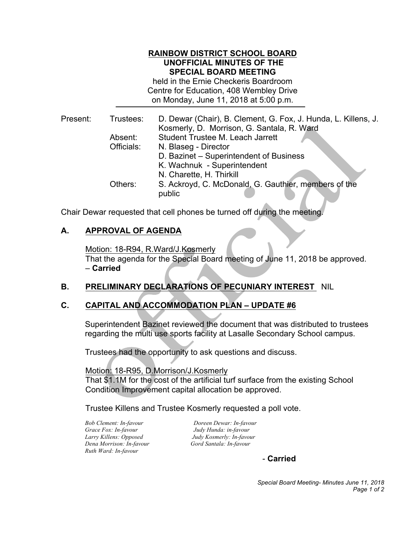#### **RAINBOW DISTRICT SCHOOL BOARD UNOFFICIAL MINUTES OF THE SPECIAL BOARD MEETING**

 held in the Ernie Checkeris Boardroom Centre for Education, 408 Wembley Drive on Monday, June 11, 2018 at 5:00 p.m.

| Present: | Trustees:  | D. Dewar (Chair), B. Clement, G. Fox, J. Hunda, L. Killens, J.<br>Kosmerly, D. Morrison, G. Santala, R. Ward |
|----------|------------|--------------------------------------------------------------------------------------------------------------|
|          | Absent:    | Student Trustee M. Leach Jarrett                                                                             |
|          | Officials: | N. Blaseg - Director                                                                                         |
|          |            | D. Bazinet - Superintendent of Business                                                                      |
|          |            | K. Wachnuk - Superintendent                                                                                  |
|          |            | N. Charette, H. Thirkill                                                                                     |
|          | Others:    | S. Ackroyd, C. McDonald, G. Gauthier, members of the                                                         |
|          |            | public                                                                                                       |

Chair Dewar requested that cell phones be turned off during the meeting.

## **A. APPROVAL OF AGENDA**

Motion: 18-R94, R.Ward/J.Kosmerly

 That the agenda for the Special Board meeting of June 11, 2018 be approved. – **Carried** 

## **B. PRELIMINARY DECLARATIONS OF PECUNIARY INTEREST** NIL

# **C. CAPITAL AND ACCOMMODATION PLAN – UPDATE #6**

 Superintendent Bazinet reviewed the document that was distributed to trustees regarding the multi use sports facility at Lasalle Secondary School campus.

Trustees had the opportunity to ask questions and discuss.

Motion: 18-R95, D.Morrison/J.Kosmerly

 Condition Improvement capital allocation be approved. That \$1.1M for the cost of the artificial turf surface from the existing School

Trustee Killens and Trustee Kosmerly requested a poll vote.

**Bob Clement: In-favour** *Grace Fox: In-favour Dena Morrison: In-favour Gord Santala: In-favour Ruth Ward: In-favour*

 *Larry Killens: Opposed Judy Kosmerly: In-favour Bob Clement: In-favour Doreen Dewar: In-favour Grace Fox: In-favour Judy Hunda: in-favour*

- **Carried** 

 *Special Board Meeting- Minutes June 11, 2018 Page 1 of 2*